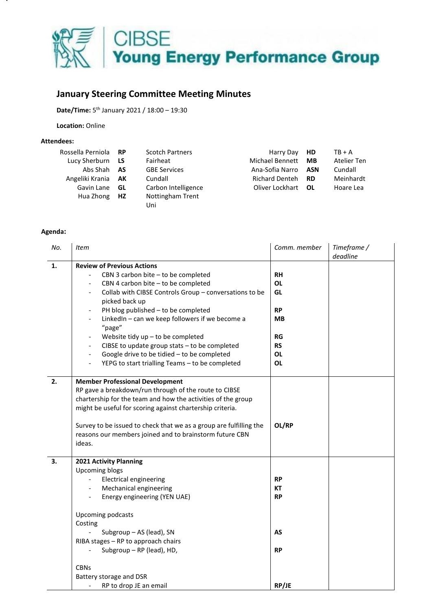

## **January Steering Committee Meeting Minutes**

**Date/Time:** 5 th January 2021 / 18:00 – 19:30

**Location:** Online

## **Attendees:**

| Rossella Perniola RP      |    | <b>Scotch Partners</b> | Harry Day <b>HD</b>   |      | $TB + A$    |
|---------------------------|----|------------------------|-----------------------|------|-------------|
| Lucy Sherburn LS          |    | Fairheat               | Michael Bennett       | MB   | Atelier Ten |
| Abs Shah <b>AS</b>        |    | <b>GBE Services</b>    | Ana-Sofia Narro       | ASN  | Cundall     |
| Angeliki Krania <b>AK</b> |    | Cundall                | <b>Richard Denteh</b> | - RD | Meinhardt   |
| Gavin Lane                | GL | Carbon Intelligence    | Oliver Lockhart OL    |      | Hoare Lea   |
| Hua Zhong HZ              |    | Nottingham Trent       |                       |      |             |
|                           |    | Uni                    |                       |      |             |

## **Agenda:**

| No. | Item                                                                      | Comm. member | Timeframe /<br>deadline |
|-----|---------------------------------------------------------------------------|--------------|-------------------------|
| 1.  | <b>Review of Previous Actions</b>                                         |              |                         |
|     | CBN 3 carbon bite - to be completed                                       | <b>RH</b>    |                         |
|     | CBN 4 carbon bite - to be completed                                       | <b>OL</b>    |                         |
|     | Collab with CIBSE Controls Group - conversations to be                    | GL           |                         |
|     | picked back up                                                            |              |                         |
|     | PH blog published - to be completed                                       | <b>RP</b>    |                         |
|     | LinkedIn - can we keep followers if we become a                           | <b>MB</b>    |                         |
|     | "page"                                                                    |              |                         |
|     | Website tidy $up$ – to be completed<br>$\qquad \qquad \blacksquare$       | RG           |                         |
|     | CIBSE to update group stats - to be completed<br>$\overline{\phantom{a}}$ | <b>RS</b>    |                         |
|     | Google drive to be tidied - to be completed<br>$\overline{\phantom{a}}$   | <b>OL</b>    |                         |
|     | YEPG to start trialling Teams - to be completed                           | <b>OL</b>    |                         |
| 2.  | <b>Member Professional Development</b>                                    |              |                         |
|     | RP gave a breakdown/run through of the route to CIBSE                     |              |                         |
|     | chartership for the team and how the activities of the group              |              |                         |
|     | might be useful for scoring against chartership criteria.                 |              |                         |
|     |                                                                           |              |                         |
|     | Survey to be issued to check that we as a group are fulfilling the        | OL/RP        |                         |
|     | reasons our members joined and to brainstorm future CBN                   |              |                         |
|     | ideas.                                                                    |              |                         |
| 3.  | 2021 Activity Planning                                                    |              |                         |
|     | <b>Upcoming blogs</b>                                                     |              |                         |
|     | <b>Electrical engineering</b>                                             | <b>RP</b>    |                         |
|     | Mechanical engineering                                                    | КT           |                         |
|     | Energy engineering (YEN UAE)                                              | <b>RP</b>    |                         |
|     | Upcoming podcasts                                                         |              |                         |
|     | Costing                                                                   |              |                         |
|     | Subgroup - AS (lead), SN                                                  | AS           |                         |
|     | RIBA stages - RP to approach chairs                                       |              |                         |
|     | Subgroup - RP (lead), HD,                                                 | <b>RP</b>    |                         |
|     | <b>CBNs</b>                                                               |              |                         |
|     | Battery storage and DSR                                                   |              |                         |
|     | RP to drop JE an email                                                    | RP/JE        |                         |